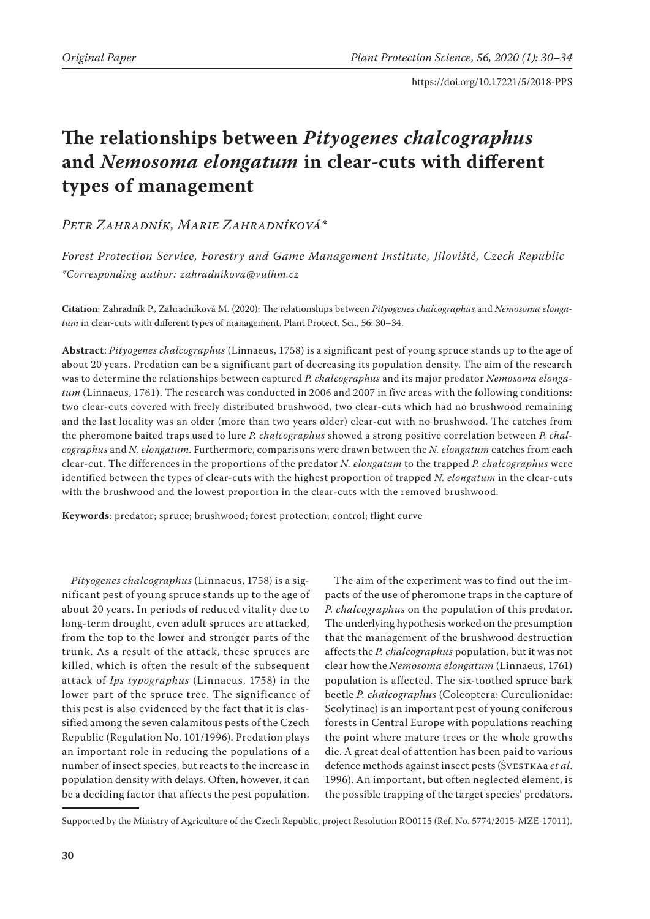# **The relationships between** *Pityogenes chalcographus* **and** *Nemosoma elongatum* **in clear-cuts with different types of management**

*Petr Zahradník, Marie Zahradníková\**

*Forest Protection Service, Forestry and Game Management Institute, Jíloviště, Czech Republic \*Corresponding author: [zahradnikova@vulhm.cz](mailto:zahradnikova@vulhm.cz)*

**Citation**: Zahradník P., Zahradníková M. (2020): The relationships between *Pityogenes chalcographus* and *Nemosoma elongatum* in clear-cuts with different types of management. Plant Protect. Sci., 56: 30–34.

**Abstract**: *Pityogenes chalcographus* (Linnaeus, 1758) is a significant pest of young spruce stands up to the age of about 20 years. Predation can be a significant part of decreasing its population density. The aim of the research was to determine the relationships between captured *P. chalcographus* and its major predator *Nemosoma elongatum* (Linnaeus, 1761). The research was conducted in 2006 and 2007 in five areas with the following conditions: two clear-cuts covered with freely distributed brushwood, two clear-cuts which had no brushwood remaining and the last locality was an older (more than two years older) clear-cut with no brushwood. The catches from the pheromone baited traps used to lure *P. chalcographus* showed a strong positive correlation between *P. chalcographus* and *N. elongatum.* Furthermore, comparisons were drawn between the *N. elongatum* catches from each clear-cut. The differences in the proportions of the predator *N. elongatum* to the trapped *P. chalcographus* were identified between the types of clear-cuts with the highest proportion of trapped *N. elongatum* in the clear-cuts with the brushwood and the lowest proportion in the clear-cuts with the removed brushwood.

**Keywords**: predator; spruce; brushwood; forest protection; control; flight curve

*Pityogenes chalcographus* (Linnaeus, 1758) is a significant pest of young spruce stands up to the age of about 20 years. In periods of reduced vitality due to long-term drought, even adult spruces are attacked, from the top to the lower and stronger parts of the trunk. As a result of the attack, these spruces are killed, which is often the result of the subsequent attack of *Ips typographus* (Linnaeus, 1758) in the lower part of the spruce tree. The significance of this pest is also evidenced by the fact that it is classified among the seven calamitous pests of the Czech Republic (Regulation No. 101/1996). Predation plays an important role in reducing the populations of a number of insect species, but reacts to the increase in population density with delays. Often, however, it can be a deciding factor that affects the pest population.

The aim of the experiment was to find out the impacts of the use of pheromone traps in the capture of *P. chalcographus* on the population of this predator. The underlying hypothesis worked on the presumption that the management of the brushwood destruction affects the *P. chalcographus* population, but it was not clear how the *Nemosoma elongatum* (Linnaeus, 1761) population is affected. The six-toothed spruce bark beetle *P. chalcographus* (Coleoptera: Curculionidae: Scolytinae) is an important pest of young coniferous forests in Central Europe with populations reaching the point where mature trees or the whole growths die. A great deal of attention has been paid to various defence methods against insect pests (Švestkaa *et al*. 1996). An important, but often neglected element, is the possible trapping of the target species' predators.

Supported by the Ministry of Agriculture of the Czech Republic, project Resolution RO0115 (Ref. No. 5774/2015-MZE-17011).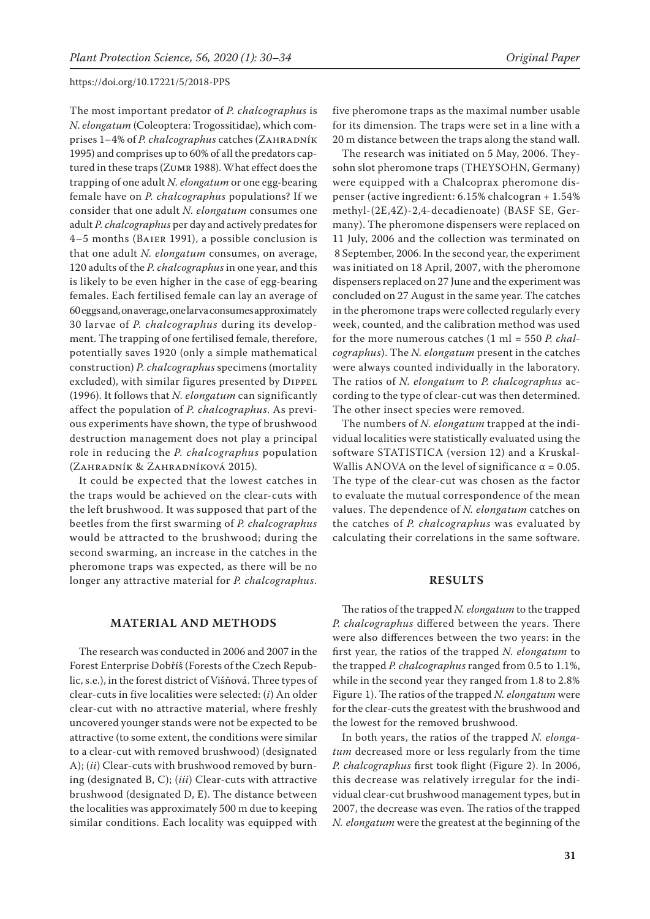The most important predator of *P. chalcographus* is *N*. *elongatum* (Coleoptera: Trogossitidae), which comprises 1–4% of *P. chalcographus* catches (Zahradník 1995) and comprises up to 60% of all the predators captured in these traps (Zumr 1988). What effect does the trapping of one adult *N. elongatum* or one egg-bearing female have on *P. chalcographus* populations? If we consider that one adult *N. elongatum* consumes one adult *P. chalcographus* per day and actively predates for 4–5 months (Baier 1991), a possible conclusion is that one adult *N. elongatum* consumes, on average, 120 adults of the *P. chalcographus* in one year, and this is likely to be even higher in the case of egg-bearing females. Each fertilised female can lay an average of 60 eggs and, on average, one larva consumes approximately 30 larvae of *P. chalcographus* during its development. The trapping of one fertilised female, therefore, potentially saves 1920 (only a simple mathematical construction) *P. chalcographus* specimens (mortality excluded), with similar figures presented by DIPPEL (1996). It follows that *N. elongatum* can significantly affect the population of *P. chalcographus*. As previous experiments have shown, the type of brushwood destruction management does not play a principal role in reducing the *P. chalcographus* population (Zahradník & Zahradníková 2015).

It could be expected that the lowest catches in the traps would be achieved on the clear-cuts with the left brushwood. It was supposed that part of the beetles from the first swarming of *P. chalcographus* would be attracted to the brushwood; during the second swarming, an increase in the catches in the pheromone traps was expected, as there will be no longer any attractive material for *P. chalcographus*.

### **MATERIAL AND METHODS**

The research was conducted in 2006 and 2007 in the Forest Enterprise Dobříš (Forests of the Czech Republic, s.e.), in the forest district of Višňová. Three types of clear-cuts in five localities were selected: (*i*) An older clear-cut with no attractive material, where freshly uncovered younger stands were not be expected to be attractive (to some extent, the conditions were similar to a clear-cut with removed brushwood) (designated A); (*ii*) Clear-cuts with brushwood removed by burning (designated B, C); (*iii*) Clear-cuts with attractive brushwood (designated D, E). The distance between the localities was approximately 500 m due to keeping similar conditions. Each locality was equipped with

five pheromone traps as the maximal number usable for its dimension. The traps were set in a line with a 20 m distance between the traps along the stand wall.

The research was initiated on 5 May, 2006. Theysohn slot pheromone traps (THEYSOHN, Germany) were equipped with a Chalcoprax pheromone dispenser (active ingredient: 6.15% chalcogran + 1.54% methyl-(2E,4Z)-2,4-decadienoate) (BASF SE, Germany). The pheromone dispensers were replaced on 11 July, 2006 and the collection was terminated on 8 September, 2006. In the second year, the experiment was initiated on 18 April, 2007, with the pheromone dispensers replaced on 27 June and the experiment was concluded on 27 August in the same year. The catches in the pheromone traps were collected regularly every week, counted, and the calibration method was used for the more numerous catches (1 ml = 550 *P. chalcographus*). The *N. elongatum* present in the catches were always counted individually in the laboratory. The ratios of *N. elongatum* to *P. chalcographus* according to the type of clear-cut was then determined. The other insect species were removed.

The numbers of *N. elongatum* trapped at the individual localities were statistically evaluated using the software STATISTICA (version 12) and a Kruskal-Wallis ANOVA on the level of significance  $\alpha = 0.05$ . The type of the clear-cut was chosen as the factor to evaluate the mutual correspondence of the mean values. The dependence of *N. elongatum* catches on the catches of *P. chalcographus* was evaluated by calculating their correlations in the same software.

## **RESULTS**

The ratios of the trapped *N. elongatum* to the trapped *P. chalcographus* differed between the years. There were also differences between the two years: in the first year, the ratios of the trapped *N. elongatum* to the trapped *P. chalcographus* ranged from 0.5 to 1.1%, while in the second year they ranged from 1.8 to 2.8% Figure 1). The ratios of the trapped *N. elongatum* were for the clear-cuts the greatest with the brushwood and the lowest for the removed brushwood.

In both years, the ratios of the trapped *N. elongatum* decreased more or less regularly from the time *P. chalcographus* first took flight (Figure 2). In 2006, this decrease was relatively irregular for the individual clear-cut brushwood management types, but in 2007, the decrease was even. The ratios of the trapped *N. elongatum* were the greatest at the beginning of the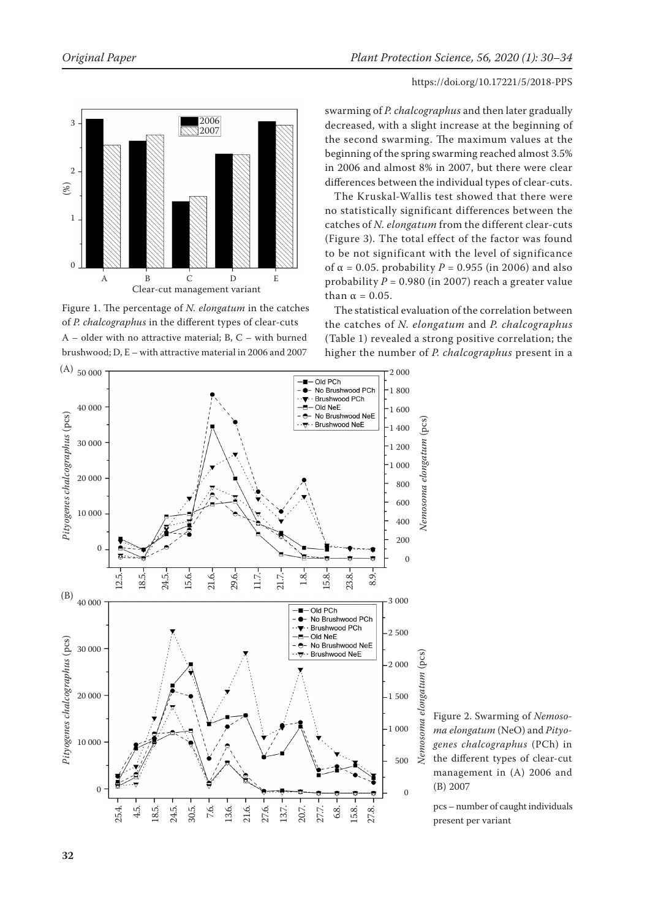

Figure 1. The percentage of *N. elongatum* in the catches of *P. chalcographus* in the different types of clear-cuts A – older with no attractive material; B, C – with burned brushwood; D, E – with attractive material in 2006 and 2007

swarming of *P. chalcographus* and then later gradually decreased, with a slight increase at the beginning of the second swarming. The maximum values at the beginning of the spring swarming reached almost 3.5% in 2006 and almost 8% in 2007, but there were clear differences between the individual types of clear-cuts.

The Kruskal-Wallis test showed that there were no statistically significant differences between the catches of *N. elongatum* from the different clear-cuts (Figure 3). The total effect of the factor was found to be not significant with the level of significance of  $\alpha$  = 0.05. probability *P* = 0.955 (in 2006) and also probability  $P = 0.980$  (in 2007) reach a greater value than  $\alpha = 0.05$ .

The statistical evaluation of the correlation between the catches of *N. elongatum* and *P. chalcographus* (Table 1) revealed a strong positive correlation; the higher the number of *P. chalcographus* present in a



Figure 2. Swarming of *Nemosoma elongatum* (NeO) and *Pityogenes chalcographus* (PCh) in the different types of clear-cut management in (A) 2006 and (B) 2007

pcs – number of caught individuals present per variant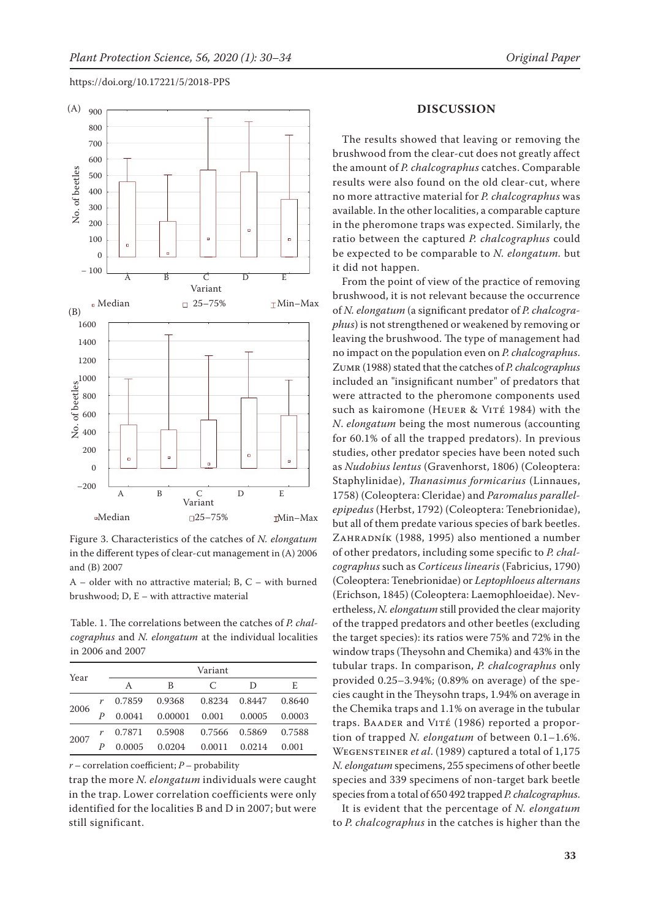

Figure 3. Characteristics of the catches of *N. elongatum* in the different types of clear-cut management in (A) 2006 and (B) 2007

A – older with no attractive material; B, C – with burned brushwood; D, E – with attractive material

Table. 1. The correlations between the catches of *P. chalcographus* and *N. elongatum* at the individual localities in 2006 and 2007

|      |   | Variant |         |        |        |        |
|------|---|---------|---------|--------|--------|--------|
| Year |   | А       | В       | C      | Ð      | E      |
| 2006 |   | 0.7859  | 0.9368  | 0.8234 | 0.8447 | 0.8640 |
|      | P | 0.0041  | 0.00001 | 0.001  | 0.0005 | 0.0003 |
| 2007 |   | 0.7871  | 0.5908  | 0.7566 | 0.5869 | 0.7588 |
|      | P | 0.0005  | 0.0204  | 0.0011 | 0.0214 | 0.001  |

*r* – correlation coefficient; *P* – probability

trap the more *N. elongatum* individuals were caught in the trap. Lower correlation coefficients were only identified for the localities B and D in 2007; but were still significant.

#### **DISCUSSION**

The results showed that leaving or removing the brushwood from the clear-cut does not greatly affect the amount of *P. chalcographus* catches. Comparable results were also found on the old clear-cut, where no more attractive material for *P. chalcographus* was available. In the other localities, a comparable capture in the pheromone traps was expected. Similarly, the ratio between the captured *P. chalcographus* could be expected to be comparable to *N. elongatum.* but it did not happen.

From the point of view of the practice of removing brushwood, it is not relevant because the occurrence of *N. elongatum* (a significant predator of *P. chalcographus*) is not strengthened or weakened by removing or leaving the brushwood. The type of management had no impact on the population even on *P. chalcographus*. Zumr (1988) stated that the catches of *P. chalcographus* included an "insignificant number" of predators that were attracted to the pheromone components used such as kairomone (HEUER & VITÉ 1984) with the *N*. *elongatum* being the most numerous (accounting for 60.1% of all the trapped predators). In previous studies, other predator species have been noted such as *Nudobius lentus* (Gravenhorst, 1806) (Coleoptera: Staphylinidae), *Thanasimus formicarius* (Linnaues, 1758) (Coleoptera: Cleridae) and *Paromalus parallelepipedus* (Herbst, 1792) (Coleoptera: Tenebrionidae), but all of them predate various species of bark beetles. Zahradník (1988, 1995) also mentioned a number of other predators, including some specific to *P. chalcographus* such as *Corticeus linearis* (Fabricius, 1790) (Coleoptera: Tenebrionidae) or *Leptophloeus alternans* (Erichson, 1845) (Coleoptera: Laemophloeidae). Nevertheless, *N. elongatum* still provided the clear majority of the trapped predators and other beetles (excluding the target species): its ratios were 75% and 72% in the window traps (Theysohn and Chemika) and 43% in the tubular traps. In comparison, *P. chalcographus* only provided 0.25–3.94%; (0.89% on average) of the species caught in the Theysohn traps, 1.94% on average in the Chemika traps and 1.1% on average in the tubular traps. BAADER and VITÉ (1986) reported a proportion of trapped *N. elongatum* of between 0.1–1.6%. Wegensteiner *et al*. (1989) captured a total of 1,175 *N. elongatum* specimens, 255 specimens of other beetle species and 339 specimens of non-target bark beetle species from a total of 650 492 trapped *P. chalcographus*.

It is evident that the percentage of *N. elongatum* to *P. chalcographus* in the catches is higher than the